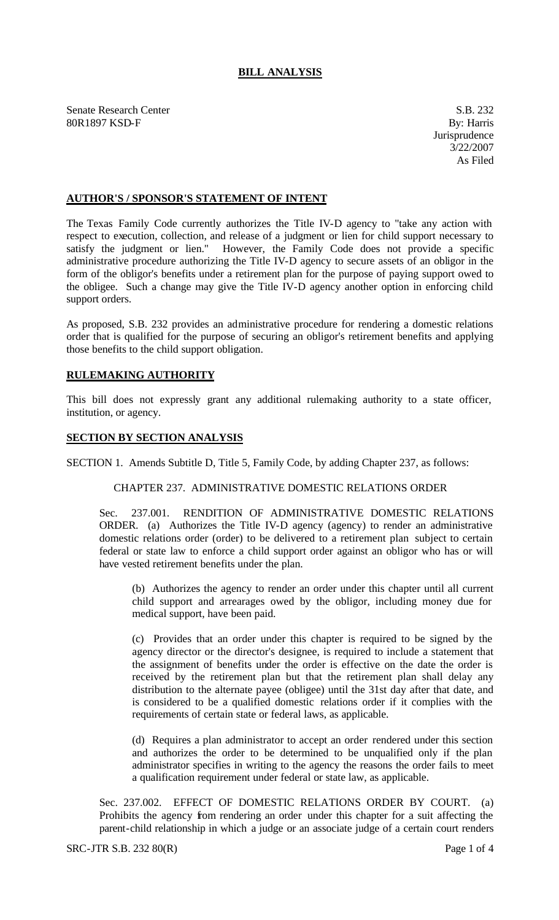# **BILL ANALYSIS**

Senate Research Center S.B. 232 80R1897 KSD-F By: Harris

# **AUTHOR'S / SPONSOR'S STATEMENT OF INTENT**

The Texas Family Code currently authorizes the Title IV-D agency to "take any action with respect to execution, collection, and release of a judgment or lien for child support necessary to satisfy the judgment or lien." However, the Family Code does not provide a specific administrative procedure authorizing the Title IV-D agency to secure assets of an obligor in the form of the obligor's benefits under a retirement plan for the purpose of paying support owed to the obligee. Such a change may give the Title IV-D agency another option in enforcing child support orders.

As proposed, S.B. 232 provides an administrative procedure for rendering a domestic relations order that is qualified for the purpose of securing an obligor's retirement benefits and applying those benefits to the child support obligation.

# **RULEMAKING AUTHORITY**

This bill does not expressly grant any additional rulemaking authority to a state officer, institution, or agency.

#### **SECTION BY SECTION ANALYSIS**

SECTION 1. Amends Subtitle D, Title 5, Family Code, by adding Chapter 237, as follows:

# CHAPTER 237. ADMINISTRATIVE DOMESTIC RELATIONS ORDER

Sec. 237.001. RENDITION OF ADMINISTRATIVE DOMESTIC RELATIONS ORDER. (a) Authorizes the Title IV-D agency (agency) to render an administrative domestic relations order (order) to be delivered to a retirement plan subject to certain federal or state law to enforce a child support order against an obligor who has or will have vested retirement benefits under the plan.

(b) Authorizes the agency to render an order under this chapter until all current child support and arrearages owed by the obligor, including money due for medical support, have been paid.

(c) Provides that an order under this chapter is required to be signed by the agency director or the director's designee, is required to include a statement that the assignment of benefits under the order is effective on the date the order is received by the retirement plan but that the retirement plan shall delay any distribution to the alternate payee (obligee) until the 31st day after that date, and is considered to be a qualified domestic relations order if it complies with the requirements of certain state or federal laws, as applicable.

(d) Requires a plan administrator to accept an order rendered under this section and authorizes the order to be determined to be unqualified only if the plan administrator specifies in writing to the agency the reasons the order fails to meet a qualification requirement under federal or state law, as applicable.

Sec. 237.002. EFFECT OF DOMESTIC RELATIONS ORDER BY COURT. (a) Prohibits the agency from rendering an order under this chapter for a suit affecting the parent-child relationship in which a judge or an associate judge of a certain court renders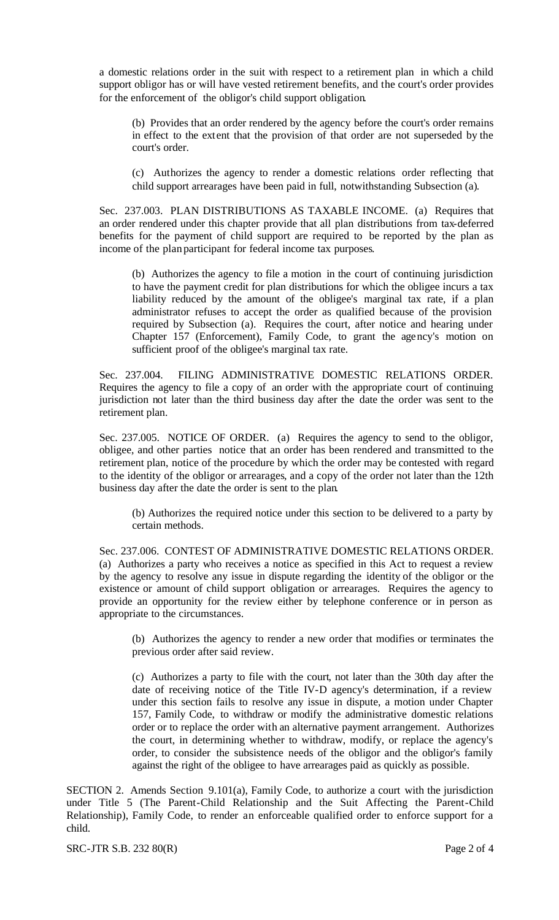a domestic relations order in the suit with respect to a retirement plan in which a child support obligor has or will have vested retirement benefits, and the court's order provides for the enforcement of the obligor's child support obligation.

(b) Provides that an order rendered by the agency before the court's order remains in effect to the extent that the provision of that order are not superseded by the court's order.

(c) Authorizes the agency to render a domestic relations order reflecting that child support arrearages have been paid in full, notwithstanding Subsection (a).

Sec. 237.003. PLAN DISTRIBUTIONS AS TAXABLE INCOME. (a) Requires that an order rendered under this chapter provide that all plan distributions from tax-deferred benefits for the payment of child support are required to be reported by the plan as income of the plan participant for federal income tax purposes.

(b) Authorizes the agency to file a motion in the court of continuing jurisdiction to have the payment credit for plan distributions for which the obligee incurs a tax liability reduced by the amount of the obligee's marginal tax rate, if a plan administrator refuses to accept the order as qualified because of the provision required by Subsection (a). Requires the court, after notice and hearing under Chapter 157 (Enforcement), Family Code, to grant the agency's motion on sufficient proof of the obligee's marginal tax rate.

Sec. 237.004. FILING ADMINISTRATIVE DOMESTIC RELATIONS ORDER. Requires the agency to file a copy of an order with the appropriate court of continuing jurisdiction not later than the third business day after the date the order was sent to the retirement plan.

Sec. 237.005. NOTICE OF ORDER. (a) Requires the agency to send to the obligor, obligee, and other parties notice that an order has been rendered and transmitted to the retirement plan, notice of the procedure by which the order may be contested with regard to the identity of the obligor or arrearages, and a copy of the order not later than the 12th business day after the date the order is sent to the plan.

(b) Authorizes the required notice under this section to be delivered to a party by certain methods.

Sec. 237.006. CONTEST OF ADMINISTRATIVE DOMESTIC RELATIONS ORDER. (a) Authorizes a party who receives a notice as specified in this Act to request a review by the agency to resolve any issue in dispute regarding the identity of the obligor or the existence or amount of child support obligation or arrearages. Requires the agency to provide an opportunity for the review either by telephone conference or in person as appropriate to the circumstances.

(b) Authorizes the agency to render a new order that modifies or terminates the previous order after said review.

(c) Authorizes a party to file with the court, not later than the 30th day after the date of receiving notice of the Title IV-D agency's determination, if a review under this section fails to resolve any issue in dispute, a motion under Chapter 157, Family Code, to withdraw or modify the administrative domestic relations order or to replace the order with an alternative payment arrangement. Authorizes the court, in determining whether to withdraw, modify, or replace the agency's order, to consider the subsistence needs of the obligor and the obligor's family against the right of the obligee to have arrearages paid as quickly as possible.

SECTION 2. Amends Section 9.101(a), Family Code, to authorize a court with the jurisdiction under Title 5 (The Parent-Child Relationship and the Suit Affecting the Parent-Child Relationship), Family Code, to render an enforceable qualified order to enforce support for a child.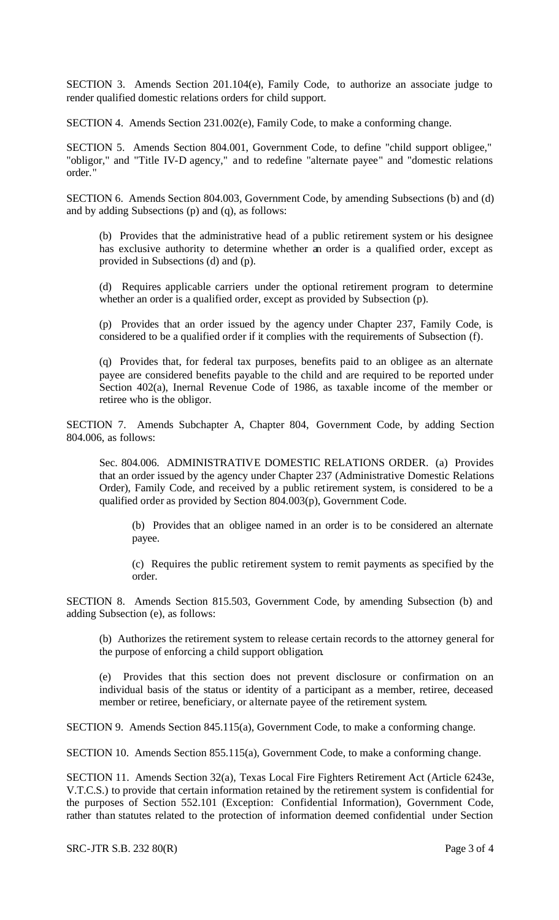SECTION 3. Amends Section 201.104(e), Family Code, to authorize an associate judge to render qualified domestic relations orders for child support.

SECTION 4. Amends Section 231.002(e), Family Code, to make a conforming change.

SECTION 5. Amends Section 804.001, Government Code, to define "child support obligee," "obligor," and "Title IV-D agency," and to redefine "alternate payee" and "domestic relations order."

SECTION 6. Amends Section 804.003, Government Code, by amending Subsections (b) and (d) and by adding Subsections (p) and (q), as follows:

(b) Provides that the administrative head of a public retirement system or his designee has exclusive authority to determine whether an order is a qualified order, except as provided in Subsections (d) and (p).

(d) Requires applicable carriers under the optional retirement program to determine whether an order is a qualified order, except as provided by Subsection (p).

(p) Provides that an order issued by the agency under Chapter 237, Family Code, is considered to be a qualified order if it complies with the requirements of Subsection (f).

(q) Provides that, for federal tax purposes, benefits paid to an obligee as an alternate payee are considered benefits payable to the child and are required to be reported under Section 402(a), Inernal Revenue Code of 1986, as taxable income of the member or retiree who is the obligor.

SECTION 7. Amends Subchapter A, Chapter 804, Government Code, by adding Section 804.006, as follows:

Sec. 804.006. ADMINISTRATIVE DOMESTIC RELATIONS ORDER. (a) Provides that an order issued by the agency under Chapter 237 (Administrative Domestic Relations Order), Family Code, and received by a public retirement system, is considered to be a qualified order as provided by Section 804.003(p), Government Code.

(b) Provides that an obligee named in an order is to be considered an alternate payee.

(c) Requires the public retirement system to remit payments as specified by the order.

SECTION 8. Amends Section 815.503, Government Code, by amending Subsection (b) and adding Subsection (e), as follows:

(b) Authorizes the retirement system to release certain records to the attorney general for the purpose of enforcing a child support obligation.

(e) Provides that this section does not prevent disclosure or confirmation on an individual basis of the status or identity of a participant as a member, retiree, deceased member or retiree, beneficiary, or alternate payee of the retirement system.

SECTION 9. Amends Section 845.115(a), Government Code, to make a conforming change.

SECTION 10. Amends Section 855.115(a), Government Code, to make a conforming change.

SECTION 11. Amends Section 32(a), Texas Local Fire Fighters Retirement Act (Article 6243e, V.T.C.S.) to provide that certain information retained by the retirement system is confidential for the purposes of Section 552.101 (Exception: Confidential Information), Government Code, rather than statutes related to the protection of information deemed confidential under Section